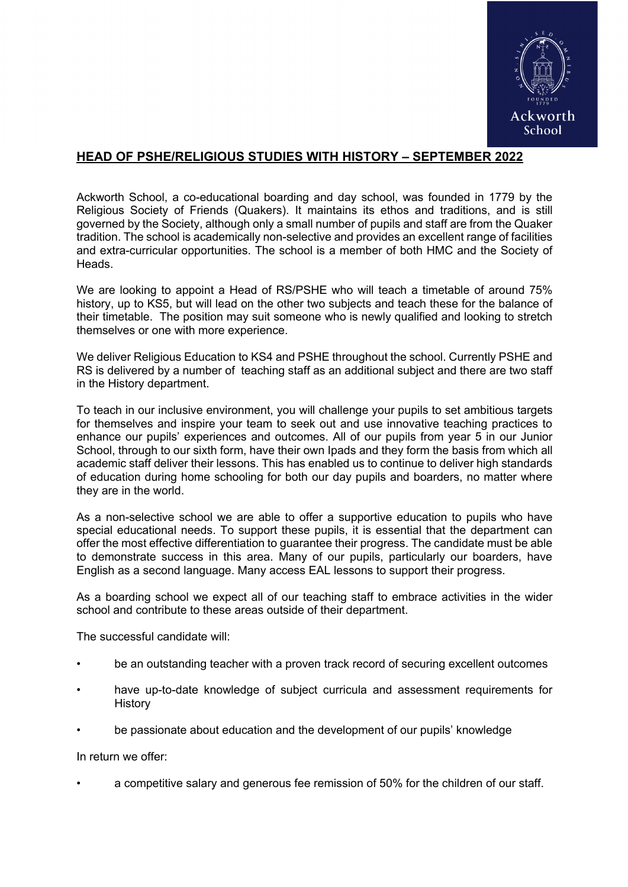

## **HEAD OF PSHE/RELIGIOUS STUDIES WITH HISTORY – SEPTEMBER 2022**

Ackworth School, a co-educational boarding and day school, was founded in 1779 by the Religious Society of Friends (Quakers). It maintains its ethos and traditions, and is still governed by the Society, although only a small number of pupils and staff are from the Quaker tradition. The school is academically non-selective and provides an excellent range of facilities and extra-curricular opportunities. The school is a member of both HMC and the Society of **Heads** 

We are looking to appoint a Head of RS/PSHE who will teach a timetable of around 75% history, up to KS5, but will lead on the other two subjects and teach these for the balance of their timetable. The position may suit someone who is newly qualified and looking to stretch themselves or one with more experience.

We deliver Religious Education to KS4 and PSHE throughout the school. Currently PSHE and RS is delivered by a number of teaching staff as an additional subject and there are two staff in the History department.

To teach in our inclusive environment, you will challenge your pupils to set ambitious targets for themselves and inspire your team to seek out and use innovative teaching practices to enhance our pupils' experiences and outcomes. All of our pupils from year 5 in our Junior School, through to our sixth form, have their own Ipads and they form the basis from which all academic staff deliver their lessons. This has enabled us to continue to deliver high standards of education during home schooling for both our day pupils and boarders, no matter where they are in the world.

As a non-selective school we are able to offer a supportive education to pupils who have special educational needs. To support these pupils, it is essential that the department can offer the most effective differentiation to guarantee their progress. The candidate must be able to demonstrate success in this area. Many of our pupils, particularly our boarders, have English as a second language. Many access EAL lessons to support their progress.

As a boarding school we expect all of our teaching staff to embrace activities in the wider school and contribute to these areas outside of their department.

The successful candidate will:

- be an outstanding teacher with a proven track record of securing excellent outcomes
- have up-to-date knowledge of subject curricula and assessment requirements for **History**
- be passionate about education and the development of our pupils' knowledge

In return we offer:

• a competitive salary and generous fee remission of 50% for the children of our staff.